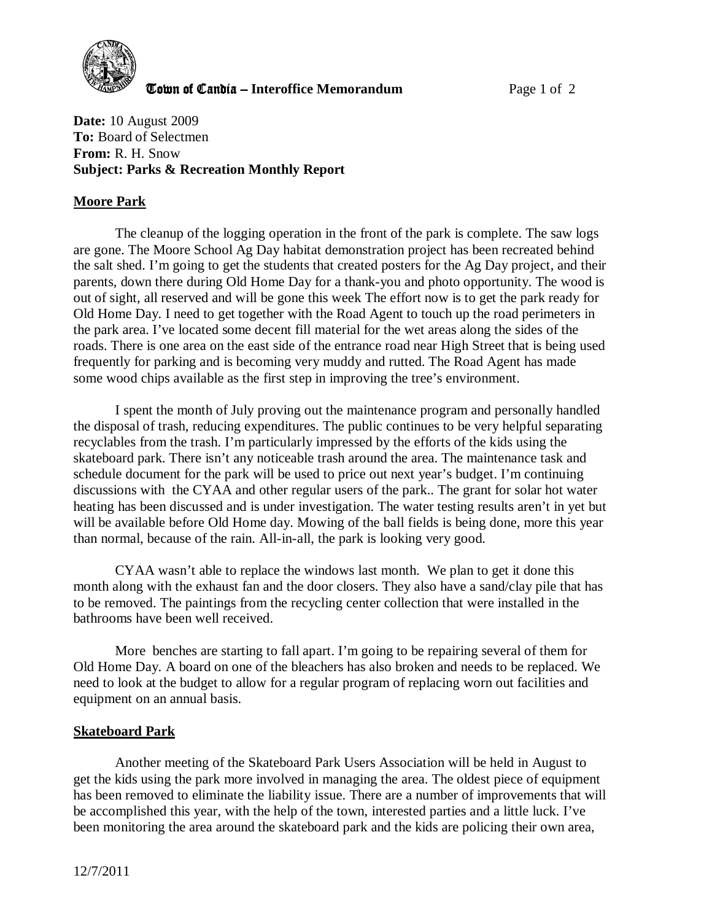

**The United Candia – Interoffice Memorandum** *Page 1 of 2* 

**Date:** 10 August 2009 **To:** Board of Selectmen **From:** R. H. Snow **Subject: Parks & Recreation Monthly Report** 

## **Moore Park**

The cleanup of the logging operation in the front of the park is complete. The saw logs are gone. The Moore School Ag Day habitat demonstration project has been recreated behind the salt shed. I'm going to get the students that created posters for the Ag Day project, and their parents, down there during Old Home Day for a thank-you and photo opportunity. The wood is out of sight, all reserved and will be gone this week The effort now is to get the park ready for Old Home Day. I need to get together with the Road Agent to touch up the road perimeters in the park area. I've located some decent fill material for the wet areas along the sides of the roads. There is one area on the east side of the entrance road near High Street that is being used frequently for parking and is becoming very muddy and rutted. The Road Agent has made some wood chips available as the first step in improving the tree's environment.

I spent the month of July proving out the maintenance program and personally handled the disposal of trash, reducing expenditures. The public continues to be very helpful separating recyclables from the trash. I'm particularly impressed by the efforts of the kids using the skateboard park. There isn't any noticeable trash around the area. The maintenance task and schedule document for the park will be used to price out next year's budget. I'm continuing discussions with the CYAA and other regular users of the park.. The grant for solar hot water heating has been discussed and is under investigation. The water testing results aren't in yet but will be available before Old Home day. Mowing of the ball fields is being done, more this year than normal, because of the rain. All-in-all, the park is looking very good.

CYAA wasn't able to replace the windows last month. We plan to get it done this month along with the exhaust fan and the door closers. They also have a sand/clay pile that has to be removed. The paintings from the recycling center collection that were installed in the bathrooms have been well received.

More benches are starting to fall apart. I'm going to be repairing several of them for Old Home Day. A board on one of the bleachers has also broken and needs to be replaced. We need to look at the budget to allow for a regular program of replacing worn out facilities and equipment on an annual basis.

## **Skateboard Park**

 Another meeting of the Skateboard Park Users Association will be held in August to get the kids using the park more involved in managing the area. The oldest piece of equipment has been removed to eliminate the liability issue. There are a number of improvements that will be accomplished this year, with the help of the town, interested parties and a little luck. I've been monitoring the area around the skateboard park and the kids are policing their own area,